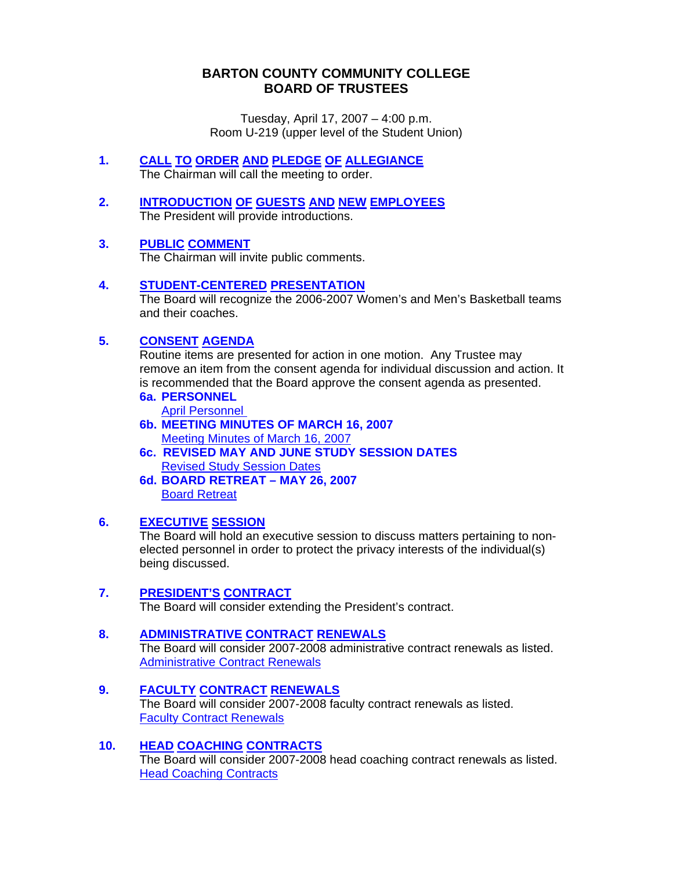## **BARTON COUNTY COMMUNITY COLLEGE BOARD OF TRUSTEES**

Tuesday, April 17, 2007 – 4:00 p.m. Room U-219 (upper level of the Student Union)

- **1. CALL TO ORDER AND PLEDGE OF ALLEGIANCE** The Chairman will call the meeting to order.
- **2. INTRODUCTION OF GUESTS AND NEW EMPLOYEES** The President will provide introductions.
- **3. PUBLIC COMMENT**

The Chairman will invite public comments.

**4. STUDENT-CENTERED PRESENTATION**

The Board will recognize the 2006-2007 Women's and Men's Basketball teams and their coaches.

## **5. CONSENT AGENDA**

Routine items are presented for action in one motion. Any Trustee may remove an item from the consent agenda for individual discussion and action. It is recommended that the Board approve the consent agenda as presented.

**6a. PERSONNEL** 

[April Personnel](http://www.bartonccc.edu/boardoftrustees/boardbooks/06_07/041707/april_personnel.pdf) 

- **6b. MEETING MINUTES OF MARCH 16, 2007**  [Meeting Minutes of March 16, 2007](http://www.bartonccc.edu/boardoftrustees/boardbooks/06_07/041707/bot_minutes031607.pdf)
- **6c. REVISED MAY AND JUNE STUDY SESSION DATES [Revised Study Session Dates](http://www.bartonccc.edu/boardoftrustees/boardbooks/06_07/041707/revised_study_session_dates.pdf)**
- **6d. BOARD RETREAT MAY 26, 2007** [Board Retreat](http://www.bartonccc.edu/boardoftrustees/boardbooks/06_07/041707/board_retreat052607.pdf)

#### **6. EXECUTIVE SESSION**

 The Board will hold an executive session to discuss matters pertaining to nonelected personnel in order to protect the privacy interests of the individual(s) being discussed.

#### **7. PRESIDENT'S CONTRACT**

The Board will consider extending the President's contract.

#### **8. ADMINISTRATIVE CONTRACT RENEWALS**

The Board will consider 2007-2008 administrative contract renewals as listed. [Administrative Contract Renewals](http://www.bartonccc.edu/boardoftrustees/boardbooks/06_07/041707/administrative_contract_renewal_list.pdf)

#### **9. FACULTY CONTRACT RENEWALS**

The Board will consider 2007-2008 faculty contract renewals as listed. [Faculty Contract Renewals](http://www.bartonccc.edu/boardoftrustees/boardbooks/06_07/041707/faculty_contract_renewal_list.pdf)

#### **10. HEAD COACHING CONTRACTS**

The Board will consider 2007-2008 head coaching contract renewals as listed. [Head Coaching Contracts](http://www.bartonccc.edu/boardoftrustees/boardbooks/06_07/041707/headcoaches_contract_renewal_list.pdf)